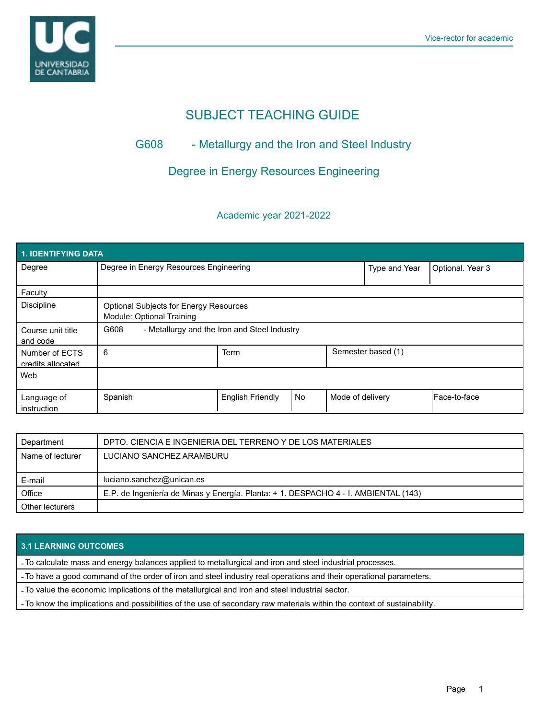

# SUBJECT TEACHING GUIDE

## G608 - Metallurgy and the Iron and Steel Industry

## Degree in Energy Resources Engineering

#### Academic year 2021-2022

| 1. IDENTIFYING DATA                 |                                                                            |                         |    |                    |                  |              |  |  |  |
|-------------------------------------|----------------------------------------------------------------------------|-------------------------|----|--------------------|------------------|--------------|--|--|--|
| Degree                              | Degree in Energy Resources Engineering                                     |                         |    | Type and Year      | Optional. Year 3 |              |  |  |  |
| Faculty                             |                                                                            |                         |    |                    |                  |              |  |  |  |
| <b>Discipline</b>                   | <b>Optional Subjects for Energy Resources</b><br>Module: Optional Training |                         |    |                    |                  |              |  |  |  |
| Course unit title<br>and code       | G608<br>- Metallurgy and the Iron and Steel Industry                       |                         |    |                    |                  |              |  |  |  |
| Number of ECTS<br>credits allocated | 6                                                                          | Term                    |    | Semester based (1) |                  |              |  |  |  |
| Web                                 |                                                                            |                         |    |                    |                  |              |  |  |  |
| Language of<br>instruction          | Spanish                                                                    | <b>English Friendly</b> | No | Mode of delivery   |                  | Face-to-face |  |  |  |

| Department       | DPTO. CIENCIA E INGENIERIA DEL TERRENO Y DE LOS MATERIALES                          |
|------------------|-------------------------------------------------------------------------------------|
| Name of lecturer | LUCIANO SANCHEZ ARAMBURU                                                            |
|                  |                                                                                     |
|                  |                                                                                     |
| E-mail           | luciano.sanchez@unican.es                                                           |
| Office           | E.P. de Ingeniería de Minas y Energía. Planta: + 1. DESPACHO 4 - I. AMBIENTAL (143) |

#### **3.1 LEARNING OUTCOMES**

- To calculate mass and energy balances applied to metallurgical and iron and steel industrial processes.

- To have a good command of the order of iron and steel industry real operations and their operational parameters.

- To value the economic implications of the metallurgical and iron and steel industrial sector.

- To know the implications and possibilities of the use of secondary raw materials within the context of sustainability.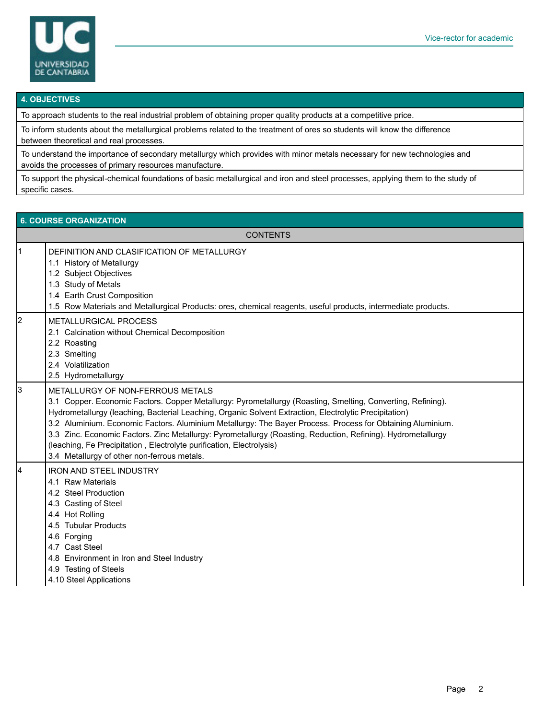

#### **4. OBJECTIVES**

To approach students to the real industrial problem of obtaining proper quality products at a competitive price.

To inform students about the metallurgical problems related to the treatment of ores so students will know the difference between theoretical and real processes.

To understand the importance of secondary metallurgy which provides with minor metals necessary for new technologies and avoids the processes of primary resources manufacture.

To support the physical-chemical foundations of basic metallurgical and iron and steel processes, applying them to the study of specific cases.

#### **6. COURSE ORGANIZATION CONTENTS** 1 DEFINITION AND CLASIFICATION OF METALLURGY 1.1 History of Metallurgy 1.2 Subject Objectives 1.3 Study of Metals 1.4 Earth Crust Composition 1.5 Row Materials and Metallurgical Products: ores, chemical reagents, useful products, intermediate products. 2 METALLURGICAL PROCESS 2.1 Calcination without Chemical Decomposition 2.2 Roasting 2.3 Smelting 2.4 Volatilization 2.5 Hydrometallurgy 3 METALLURGY OF NON-FERROUS METALS 3.1 Copper. Economic Factors. Copper Metallurgy: Pyrometallurgy (Roasting, Smelting, Converting, Refining). Hydrometallurgy (leaching, Bacterial Leaching, Organic Solvent Extraction, Electrolytic Precipitation) 3.2 Aluminium. Economic Factors. Aluminium Metallurgy: The Bayer Process. Process for Obtaining Aluminium. 3.3 Zinc. Economic Factors. Zinc Metallurgy: Pyrometallurgy (Roasting, Reduction, Refining). Hydrometallurgy (leaching, Fe Precipitation , Electrolyte purification, Electrolysis) 3.4 Metallurgy of other non-ferrous metals. **IRON AND STEEL INDUSTRY** 4.1 Raw Materials 4.2 Steel Production 4.3 Casting of Steel 4.4 Hot Rolling 4.5 Tubular Products 4.6 Forging 4.7 Cast Steel 4.8 Environment in Iron and Steel Industry 4.9 Testing of Steels 4.10 Steel Applications